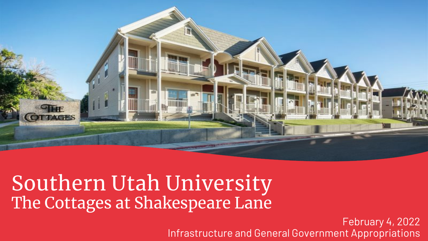

# Southern Utah University The Cottages at Shakespeare Lane

February 4, 2022 Infrastructure and General Government Appropriations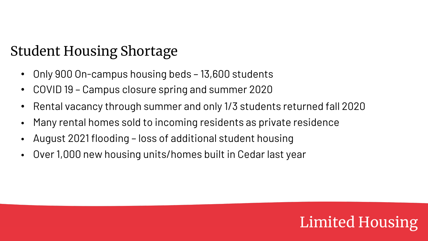## Student Housing Shortage

- Only 900 On-campus housing beds 13,600 students
- COVID 19 Campus closure spring and summer 2020
- Rental vacancy through summer and only 1/3 students returned fall 2020
- Many rental homes sold to incoming residents as private residence
- August 2021 flooding loss of additional student housing
- Over 1,000 new housing units/homes built in Cedar last year

# Limited Housing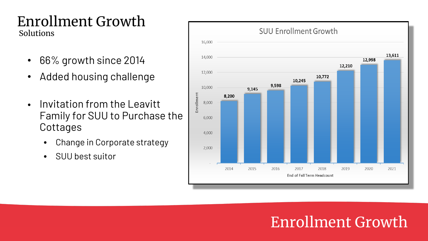### Enrollment Growth Solutions

- 66% growth since 2014
- Added housing challenge
- Invitation from the Leavitt Family for SUU to Purchase the **Cottages** 
	- Change in Corporate strategy
	- SUU best suitor



## Enrollment Growth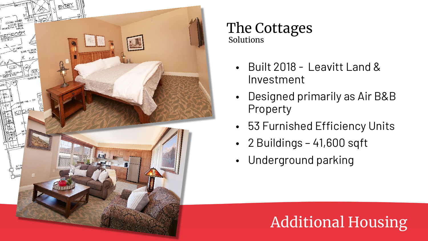

#### The Cottages Solutions

- Built 2018 Leavitt Land & Investment
- Designed primarily as Air B&B Property
- 53 Furnished Efficiency Units
- 2 Buildings 41,600 sqft
- Underground parking

# Additional Housing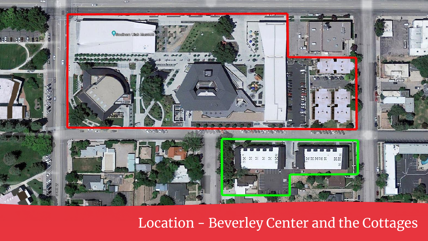

## Location - Beverley Center and the Cottages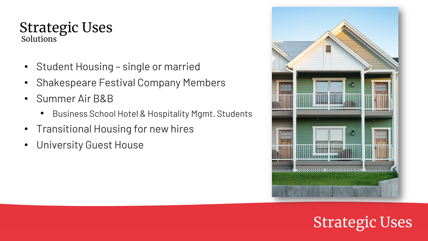#### Strategic Uses Solutions

- Student Housing single or married
- Shakespeare Festival Company Members
- Summer Air B&B
	- Business School Hotel & Hospitality Mgmt. Students
- Transitional Housing for new hires
- University Guest House



# Strategic Uses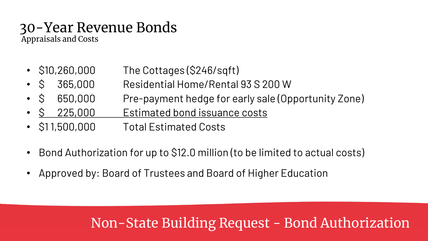#### 30-Year Revenue Bonds Appraisals and Costs

• \$10,260,000 The Cottages (\$246/sqft)

- \$ 365,000 Residential Home/Rental 93 S 200 W
- \$ 650,000 Pre-payment hedge for early sale (Opportunity Zone)
- \$ 225,000 Estimated bond issuance costs
- \$1 1,500,000 Total Estimated Costs
- Bond Authorization for up to \$12.0 million (to be limited to actual costs)
- Approved by: Board of Trustees and Board of Higher Education

## Non-State Building Request - Bond Authorization